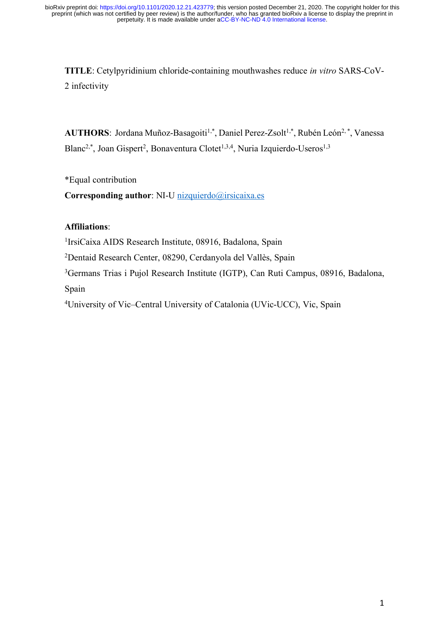**TITLE**: Cetylpyridinium chloride-containing mouthwashes reduce *in vitro* SARS-CoV-2 infectivity

AUTHORS: Jordana Muñoz-Basagoiti<sup>1,\*</sup>, Daniel Perez-Zsolt<sup>1,\*</sup>, Rubén León<sup>2,\*</sup>, Vanessa Blanc<sup>2,\*</sup>, Joan Gispert<sup>2</sup>, Bonaventura Clotet<sup>1,3,4</sup>, Nuria Izquierdo-Useros<sup>1,3</sup>

\*Equal contribution

**Corresponding author**: NI-U nizquierdo@irsicaixa.es

# **Affiliations**:

<sup>1</sup>IrsiCaixa AIDS Research Institute, 08916, Badalona, Spain

2 Dentaid Research Center, 08290, Cerdanyola del Vallès, Spain

3Germans Trias i Pujol Research Institute (IGTP), Can Ruti Campus, 08916, Badalona,

Spain

<sup>4</sup>University of Vic–Central University of Catalonia (UVic-UCC), Vic, Spain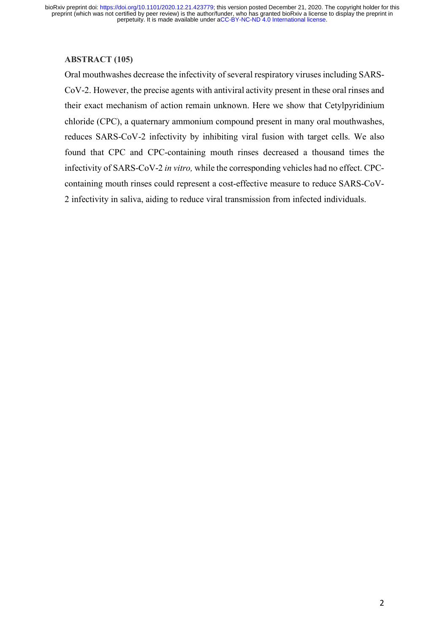### **ABSTRACT (105)**

Oral mouthwashes decrease the infectivity of several respiratory viruses including SARS-CoV-2. However, the precise agents with antiviral activity present in these oral rinses and their exact mechanism of action remain unknown. Here we show that Cetylpyridinium chloride (CPC), a quaternary ammonium compound present in many oral mouthwashes, reduces SARS-CoV-2 infectivity by inhibiting viral fusion with target cells. We also found that CPC and CPC-containing mouth rinses decreased a thousand times the infectivity of SARS-CoV-2 *in vitro,* while the corresponding vehicles had no effect. CPCcontaining mouth rinses could represent a cost-effective measure to reduce SARS-CoV-2 infectivity in saliva, aiding to reduce viral transmission from infected individuals.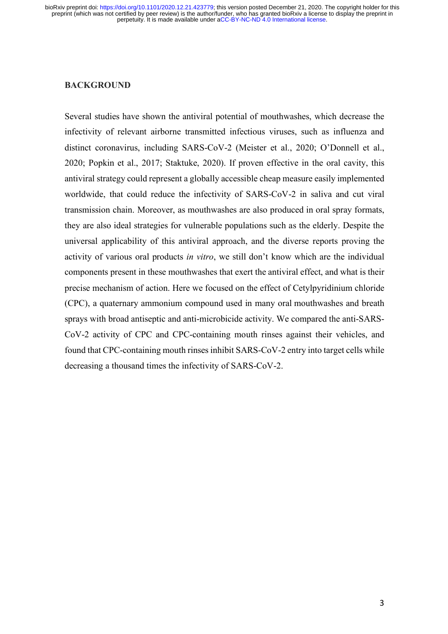### **BACKGROUND**

Several studies have shown the antiviral potential of mouthwashes, which decrease the infectivity of relevant airborne transmitted infectious viruses, such as influenza and distinct coronavirus, including SARS-CoV-2 (Meister et al., 2020; O'Donnell et al., 2020; Popkin et al., 2017; Staktuke, 2020). If proven effective in the oral cavity, this antiviral strategy could represent a globally accessible cheap measure easily implemented worldwide, that could reduce the infectivity of SARS-CoV-2 in saliva and cut viral transmission chain. Moreover, as mouthwashes are also produced in oral spray formats, they are also ideal strategies for vulnerable populations such as the elderly. Despite the universal applicability of this antiviral approach, and the diverse reports proving the activity of various oral products *in vitro*, we still don't know which are the individual components present in these mouthwashes that exert the antiviral effect, and what is their precise mechanism of action. Here we focused on the effect of Cetylpyridinium chloride (CPC), a quaternary ammonium compound used in many oral mouthwashes and breath sprays with broad antiseptic and anti-microbicide activity. We compared the anti-SARS-CoV-2 activity of CPC and CPC-containing mouth rinses against their vehicles, and found that CPC-containing mouth rinsesinhibit SARS-CoV-2 entry into target cells while decreasing a thousand times the infectivity of SARS-CoV-2.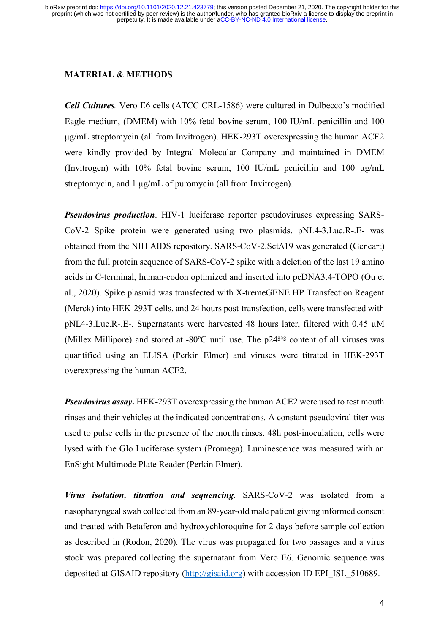# **MATERIAL & METHODS**

*Cell Cultures.* Vero E6 cells (ATCC CRL-1586) were cultured in Dulbecco's modified Eagle medium, (DMEM) with 10% fetal bovine serum, 100 IU/mL penicillin and 100 µg/mL streptomycin (all from Invitrogen). HEK-293T overexpressing the human ACE2 were kindly provided by Integral Molecular Company and maintained in DMEM (Invitrogen) with 10% fetal bovine serum, 100 IU/mL penicillin and 100  $\mu$ g/mL streptomycin, and 1 µg/mL of puromycin (all from Invitrogen).

*Pseudovirus production*. HIV-1 luciferase reporter pseudoviruses expressing SARS-CoV-2 Spike protein were generated using two plasmids. pNL4-3.Luc.R-.E- was obtained from the NIH AIDS repository. SARS-CoV-2.SctΔ19 was generated (Geneart) from the full protein sequence of SARS-CoV-2 spike with a deletion of the last 19 amino acids in C-terminal, human-codon optimized and inserted into pcDNA3.4-TOPO (Ou et al., 2020). Spike plasmid was transfected with X-tremeGENE HP Transfection Reagent (Merck) into HEK-293T cells, and 24 hours post-transfection, cells were transfected with pNL4-3.Luc.R-.E-. Supernatants were harvested 48 hours later, filtered with 0.45 µM (Millex Millipore) and stored at -80°C until use. The p24<sup>gag</sup> content of all viruses was quantified using an ELISA (Perkin Elmer) and viruses were titrated in HEK-293T overexpressing the human ACE2.

*Pseudovirus assay***.** HEK-293T overexpressing the human ACE2 were used to test mouth rinses and their vehicles at the indicated concentrations. A constant pseudoviral titer was used to pulse cells in the presence of the mouth rinses. 48h post-inoculation, cells were lysed with the Glo Luciferase system (Promega). Luminescence was measured with an EnSight Multimode Plate Reader (Perkin Elmer).

*Virus isolation, titration and sequencing.* SARS-CoV-2 was isolated from a nasopharyngeal swab collected from an 89-year-old male patient giving informed consent and treated with Betaferon and hydroxychloroquine for 2 days before sample collection as described in (Rodon, 2020). The virus was propagated for two passages and a virus stock was prepared collecting the supernatant from Vero E6. Genomic sequence was deposited at GISAID repository (http://gisaid.org) with accession ID EPI\_ISL\_510689.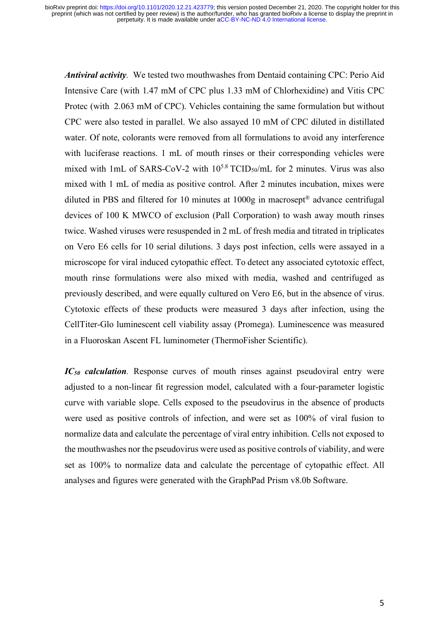*Antiviral activity.* We tested two mouthwashes from Dentaid containing CPC: Perio Aid Intensive Care (with 1.47 mM of CPC plus 1.33 mM of Chlorhexidine) and Vitis CPC Protec (with 2.063 mM of CPC). Vehicles containing the same formulation but without CPC were also tested in parallel. We also assayed 10 mM of CPC diluted in distillated water. Of note, colorants were removed from all formulations to avoid any interference with luciferase reactions. 1 mL of mouth rinses or their corresponding vehicles were mixed with 1mL of SARS-CoV-2 with  $10^{5.8}$  TCID<sub>50</sub>/mL for 2 minutes. Virus was also mixed with 1 mL of media as positive control. After 2 minutes incubation, mixes were diluted in PBS and filtered for 10 minutes at 1000g in macrosept® advance centrifugal devices of 100 K MWCO of exclusion (Pall Corporation) to wash away mouth rinses twice. Washed viruses were resuspended in 2 mL of fresh media and titrated in triplicates on Vero E6 cells for 10 serial dilutions. 3 days post infection, cells were assayed in a microscope for viral induced cytopathic effect. To detect any associated cytotoxic effect, mouth rinse formulations were also mixed with media, washed and centrifuged as previously described, and were equally cultured on Vero E6, but in the absence of virus. Cytotoxic effects of these products were measured 3 days after infection, using the CellTiter-Glo luminescent cell viability assay (Promega). Luminescence was measured in a Fluoroskan Ascent FL luminometer (ThermoFisher Scientific).

*IC50 calculation.* Response curves of mouth rinses against pseudoviral entry were adjusted to a non-linear fit regression model, calculated with a four-parameter logistic curve with variable slope. Cells exposed to the pseudovirus in the absence of products were used as positive controls of infection, and were set as 100% of viral fusion to normalize data and calculate the percentage of viral entry inhibition. Cells not exposed to the mouthwashes nor the pseudovirus were used as positive controls of viability, and were set as 100% to normalize data and calculate the percentage of cytopathic effect. All analyses and figures were generated with the GraphPad Prism v8.0b Software.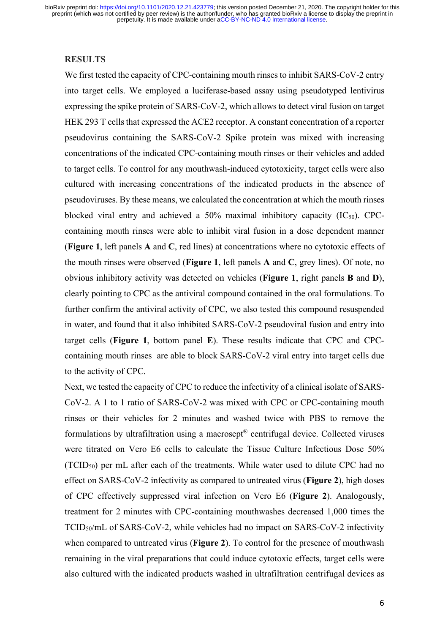#### **RESULTS**

We first tested the capacity of CPC-containing mouth rinses to inhibit SARS-CoV-2 entry into target cells. We employed a luciferase-based assay using pseudotyped lentivirus expressing the spike protein of SARS-CoV-2, which allows to detect viral fusion on target HEK 293 T cells that expressed the ACE2 receptor. A constant concentration of a reporter pseudovirus containing the SARS-CoV-2 Spike protein was mixed with increasing concentrations of the indicated CPC-containing mouth rinses or their vehicles and added to target cells. To control for any mouthwash-induced cytotoxicity, target cells were also cultured with increasing concentrations of the indicated products in the absence of pseudoviruses. By these means, we calculated the concentration at which the mouth rinses blocked viral entry and achieved a  $50\%$  maximal inhibitory capacity (IC<sub>50</sub>). CPCcontaining mouth rinses were able to inhibit viral fusion in a dose dependent manner (**Figure 1**, left panels **A** and **C**, red lines) at concentrations where no cytotoxic effects of the mouth rinses were observed (**Figure 1**, left panels **A** and **C**, grey lines). Of note, no obvious inhibitory activity was detected on vehicles (**Figure 1**, right panels **B** and **D**), clearly pointing to CPC as the antiviral compound contained in the oral formulations. To further confirm the antiviral activity of CPC, we also tested this compound resuspended in water, and found that it also inhibited SARS-CoV-2 pseudoviral fusion and entry into target cells (**Figure 1**, bottom panel **E**). These results indicate that CPC and CPCcontaining mouth rinses are able to block SARS-CoV-2 viral entry into target cells due to the activity of CPC.

Next, we tested the capacity of CPC to reduce the infectivity of a clinical isolate of SARS-CoV-2. A 1 to 1 ratio of SARS-CoV-2 was mixed with CPC or CPC-containing mouth rinses or their vehicles for 2 minutes and washed twice with PBS to remove the formulations by ultrafiltration using a macrosept® centrifugal device. Collected viruses were titrated on Vero E6 cells to calculate the Tissue Culture Infectious Dose 50% (TCID50) per mL after each of the treatments. While water used to dilute CPC had no effect on SARS-CoV-2 infectivity as compared to untreated virus (**Figure 2**), high doses of CPC effectively suppressed viral infection on Vero E6 (**Figure 2**). Analogously, treatment for 2 minutes with CPC-containing mouthwashes decreased 1,000 times the TCID50/mL of SARS-CoV-2, while vehicles had no impact on SARS-CoV-2 infectivity when compared to untreated virus (**Figure 2**). To control for the presence of mouthwash remaining in the viral preparations that could induce cytotoxic effects, target cells were also cultured with the indicated products washed in ultrafiltration centrifugal devices as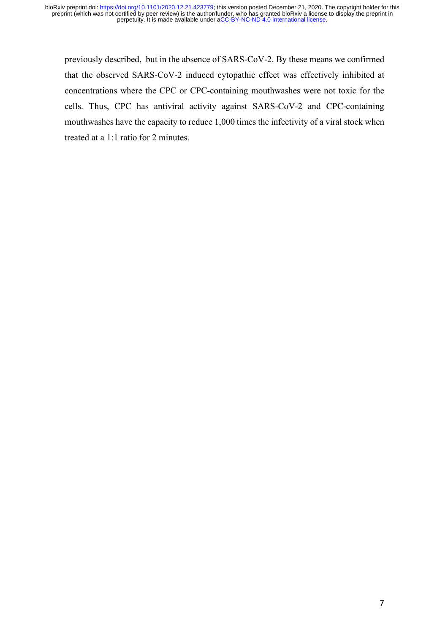previously described, but in the absence of SARS-CoV-2. By these means we confirmed that the observed SARS-CoV-2 induced cytopathic effect was effectively inhibited at concentrations where the CPC or CPC-containing mouthwashes were not toxic for the cells. Thus, CPC has antiviral activity against SARS-CoV-2 and CPC-containing mouthwashes have the capacity to reduce 1,000 times the infectivity of a viral stock when treated at a 1:1 ratio for 2 minutes.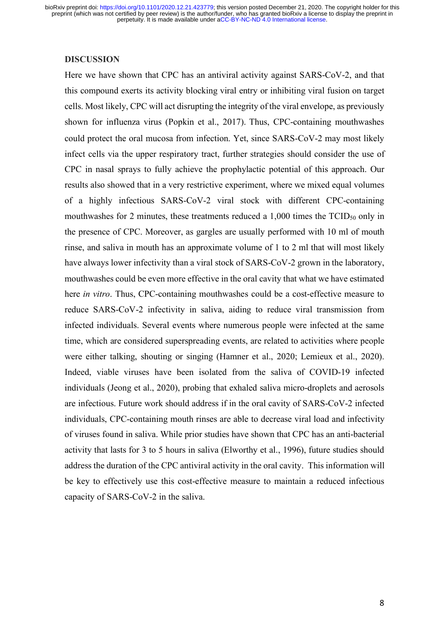#### **DISCUSSION**

Here we have shown that CPC has an antiviral activity against SARS-CoV-2, and that this compound exerts its activity blocking viral entry or inhibiting viral fusion on target cells. Most likely, CPC will act disrupting the integrity of the viral envelope, as previously shown for influenza virus (Popkin et al., 2017). Thus, CPC-containing mouthwashes could protect the oral mucosa from infection. Yet, since SARS-CoV-2 may most likely infect cells via the upper respiratory tract, further strategies should consider the use of CPC in nasal sprays to fully achieve the prophylactic potential of this approach. Our results also showed that in a very restrictive experiment, where we mixed equal volumes of a highly infectious SARS-CoV-2 viral stock with different CPC-containing mouthwashes for 2 minutes, these treatments reduced a 1,000 times the TCID<sub>50</sub> only in the presence of CPC. Moreover, as gargles are usually performed with 10 ml of mouth rinse, and saliva in mouth has an approximate volume of 1 to 2 ml that will most likely have always lower infectivity than a viral stock of SARS-CoV-2 grown in the laboratory, mouthwashes could be even more effective in the oral cavity that what we have estimated here *in vitro*. Thus, CPC-containing mouthwashes could be a cost-effective measure to reduce SARS-CoV-2 infectivity in saliva, aiding to reduce viral transmission from infected individuals. Several events where numerous people were infected at the same time, which are considered superspreading events, are related to activities where people were either talking, shouting or singing (Hamner et al., 2020; Lemieux et al., 2020). Indeed, viable viruses have been isolated from the saliva of COVID-19 infected individuals (Jeong et al., 2020), probing that exhaled saliva micro-droplets and aerosols are infectious. Future work should address if in the oral cavity of SARS-CoV-2 infected individuals, CPC-containing mouth rinses are able to decrease viral load and infectivity of viruses found in saliva. While prior studies have shown that CPC has an anti-bacterial activity that lasts for 3 to 5 hours in saliva (Elworthy et al., 1996), future studies should address the duration of the CPC antiviral activity in the oral cavity. This information will be key to effectively use this cost-effective measure to maintain a reduced infectious capacity of SARS-CoV-2 in the saliva.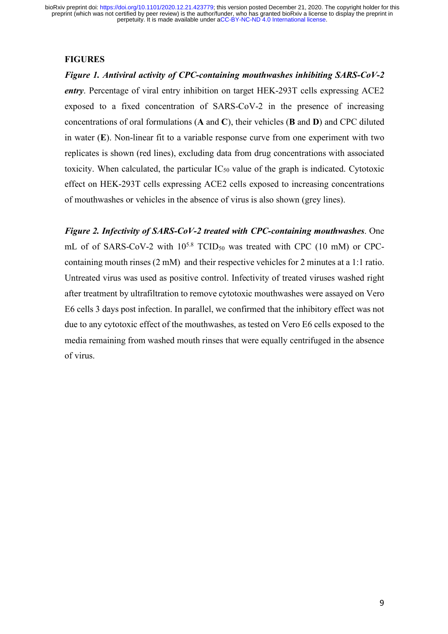#### **FIGURES**

*Figure 1. Antiviral activity of CPC-containing mouthwashes inhibiting SARS-CoV-2 entry*. Percentage of viral entry inhibition on target HEK-293T cells expressing ACE2 exposed to a fixed concentration of SARS-CoV-2 in the presence of increasing concentrations of oral formulations (**A** and **C**), their vehicles (**B** and **D**) and CPC diluted in water (**E**). Non-linear fit to a variable response curve from one experiment with two replicates is shown (red lines), excluding data from drug concentrations with associated toxicity. When calculated, the particular  $IC_{50}$  value of the graph is indicated. Cytotoxic effect on HEK-293T cells expressing ACE2 cells exposed to increasing concentrations of mouthwashes or vehicles in the absence of virus is also shown (grey lines).

*Figure 2. Infectivity of SARS-CoV-2 treated with CPC-containing mouthwashes*. One mL of of SARS-CoV-2 with  $10^{5.8}$  TCID<sub>50</sub> was treated with CPC (10 mM) or CPCcontaining mouth rinses (2 mM) and their respective vehicles for 2 minutes at a 1:1 ratio. Untreated virus was used as positive control. Infectivity of treated viruses washed right after treatment by ultrafiltration to remove cytotoxic mouthwashes were assayed on Vero E6 cells 3 days post infection. In parallel, we confirmed that the inhibitory effect was not due to any cytotoxic effect of the mouthwashes, as tested on Vero E6 cells exposed to the media remaining from washed mouth rinses that were equally centrifuged in the absence of virus.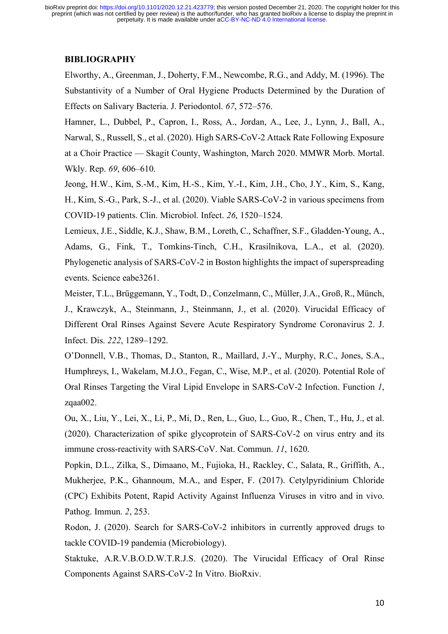### **BIBLIOGRAPHY**

Elworthy, A., Greenman, J., Doherty, F.M., Newcombe, R.G., and Addy, M. (1996). The Substantivity of a Number of Oral Hygiene Products Determined by the Duration of Effects on Salivary Bacteria. J. Periodontol. *67*, 572–576.

Hamner, L., Dubbel, P., Capron, I., Ross, A., Jordan, A., Lee, J., Lynn, J., Ball, A., Narwal, S., Russell, S., et al. (2020). High SARS-CoV-2 Attack Rate Following Exposure at a Choir Practice — Skagit County, Washington, March 2020. MMWR Morb. Mortal. Wkly. Rep. *69*, 606–610.

Jeong, H.W., Kim, S.-M., Kim, H.-S., Kim, Y.-I., Kim, J.H., Cho, J.Y., Kim, S., Kang, H., Kim, S.-G., Park, S.-J., et al. (2020). Viable SARS-CoV-2 in various specimens from COVID-19 patients. Clin. Microbiol. Infect. *26*, 1520–1524.

Lemieux, J.E., Siddle, K.J., Shaw, B.M., Loreth, C., Schaffner, S.F., Gladden-Young, A., Adams, G., Fink, T., Tomkins-Tinch, C.H., Krasilnikova, L.A., et al. (2020). Phylogenetic analysis of SARS-CoV-2 in Boston highlights the impact of superspreading events. Science eabe3261.

Meister, T.L., Brüggemann, Y., Todt, D., Conzelmann, C., Müller, J.A., Groß, R., Münch, J., Krawczyk, A., Steinmann, J., Steinmann, J., et al. (2020). Virucidal Efficacy of Different Oral Rinses Against Severe Acute Respiratory Syndrome Coronavirus 2. J. Infect. Dis. *222*, 1289–1292.

O'Donnell, V.B., Thomas, D., Stanton, R., Maillard, J.-Y., Murphy, R.C., Jones, S.A., Humphreys, I., Wakelam, M.J.O., Fegan, C., Wise, M.P., et al. (2020). Potential Role of Oral Rinses Targeting the Viral Lipid Envelope in SARS-CoV-2 Infection. Function *1*, zqaa002.

Ou, X., Liu, Y., Lei, X., Li, P., Mi, D., Ren, L., Guo, L., Guo, R., Chen, T., Hu, J., et al. (2020). Characterization of spike glycoprotein of SARS-CoV-2 on virus entry and its immune cross-reactivity with SARS-CoV. Nat. Commun. *11*, 1620.

Popkin, D.L., Zilka, S., Dimaano, M., Fujioka, H., Rackley, C., Salata, R., Griffith, A., Mukherjee, P.K., Ghannoum, M.A., and Esper, F. (2017). Cetylpyridinium Chloride (CPC) Exhibits Potent, Rapid Activity Against Influenza Viruses in vitro and in vivo. Pathog. Immun. *2*, 253.

Rodon, J. (2020). Search for SARS-CoV-2 inhibitors in currently approved drugs to tackle COVID-19 pandemia (Microbiology).

Staktuke, A.R.V.B.O.D.W.T.R.J.S. (2020). The Virucidal Efficacy of Oral Rinse Components Against SARS-CoV-2 In Vitro. BioRxiv.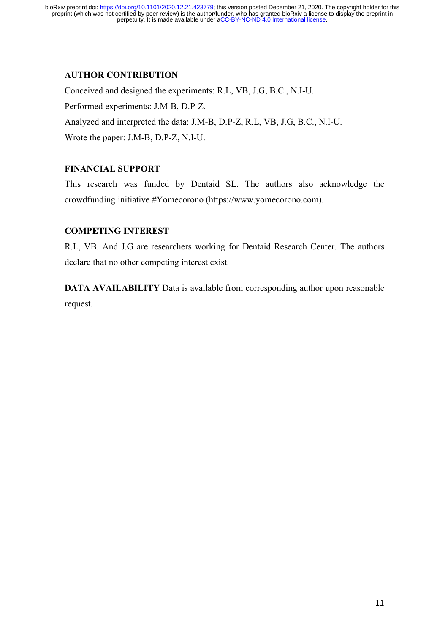# **AUTHOR CONTRIBUTION**

Conceived and designed the experiments: R.L, VB, J.G, B.C., N.I-U. Performed experiments: J.M-B, D.P-Z. Analyzed and interpreted the data: J.M-B, D.P-Z, R.L, VB, J.G, B.C., N.I-U. Wrote the paper: J.M-B, D.P-Z, N.I-U.

# **FINANCIAL SUPPORT**

This research was funded by Dentaid SL. The authors also acknowledge the crowdfunding initiative #Yomecorono (https://www.yomecorono.com).

# **COMPETING INTEREST**

R.L, VB. And J.G are researchers working for Dentaid Research Center. The authors declare that no other competing interest exist.

**DATA AVAILABILITY** Data is available from corresponding author upon reasonable request.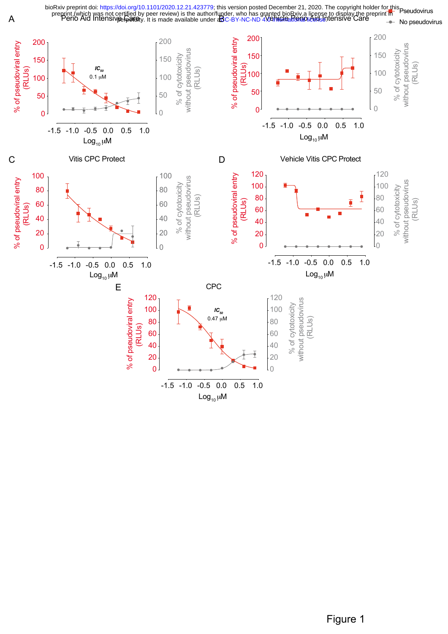